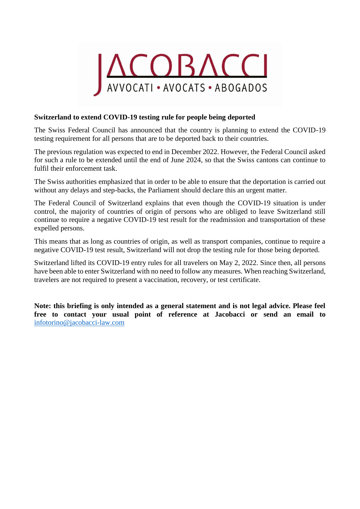

## **Switzerland to extend COVID-19 testing rule for people being deported**

The Swiss Federal Council has announced that the country is planning to extend the COVID-19 testing requirement for all persons that are to be deported back to their countries.

The previous regulation was expected to end in December 2022. However, the Federal Council asked for such a rule to be extended until the end of June 2024, so that the Swiss cantons can continue to fulfil their enforcement task.

The Swiss authorities emphasized that in order to be able to ensure that the deportation is carried out without any delays and step-backs, the Parliament should declare this an urgent matter.

The Federal Council of Switzerland explains that even though the COVID-19 situation is under control, the majority of countries of origin of persons who are obliged to leave Switzerland still continue to require a negative COVID-19 test result for the readmission and transportation of these expelled persons.

This means that as long as countries of origin, as well as transport companies, continue to require a negative COVID-19 test result, Switzerland will not drop the testing rule for those being deported.

Switzerland lifted its COVID-19 [entry rules for all travelers on May 2,](https://www.schengenvisainfo.com/news/switzerland-has-now-removed-covid-19-entry-restrictions-for-all-travellers/) 2022. Since then, all persons have been able to enter Switzerland with no need to follow any measures. When reaching Switzerland, travelers are not required to present a vaccination, recovery, or test certificate.

**Note: this briefing is only intended as a general statement and is not legal advice. Please feel free to contact your usual point of reference at Jacobacci or send an email to**  [infotorino@jacobacci-law.com](mailto:infotorino@jacobacci-law.com)